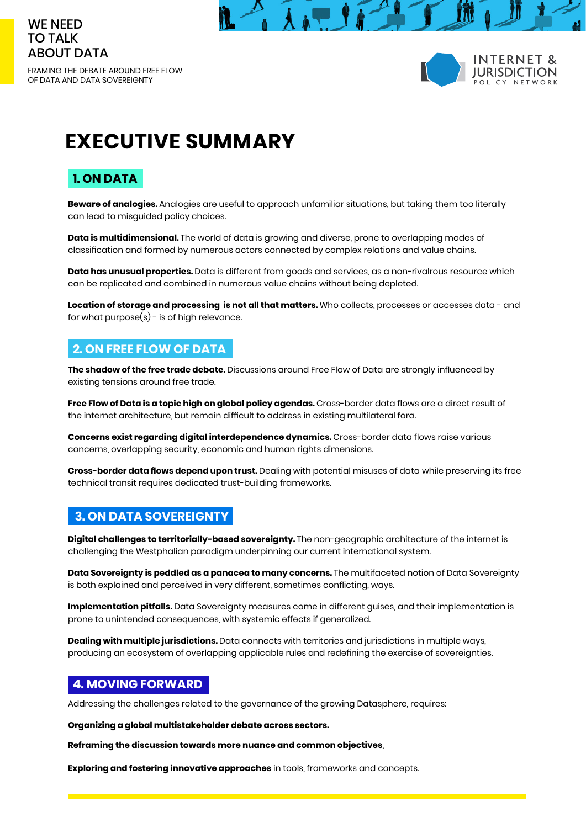

OF DATA AND DATA SOVEREIGNTY





# **EXECUTIVE SUMMARY**

# **1. ON DATA**

**Beware of analogies.** Analogies are useful to approach unfamiliar situations, but taking them too literally can lead to misguided policy choices.

**Data is multidimensional.** The world of data is growing and diverse, prone to overlapping modes of classification and formed by numerous actors connected by complex relations and value chains.

**Data has unusual properties.** Data is different from goods and services, as a non-rivalrous resource which can be replicated and combined in numerous value chains without being depleted.

**Location of storage and processing is not all that matters.** Who collects, processes or accesses data - and for what purpose $(s)$  - is of high relevance.

## **2. ON FREE FLOW OF DATA**

**The shadow of the free trade debate.** Discussions around Free Flow of Data are strongly influenced by existing tensions around free trade.

**Free Flow of Data is a topic high on global policy agendas.** Cross-border data flows are a direct result of the internet architecture, but remain difficult to address in existing multilateral fora.

**Concerns exist regarding digital interdependence dynamics.** Cross-border data flows raise various concerns, overlapping security, economic and human rights dimensions.

**Cross-border data flows depend upon trust.** Dealing with potential misuses of data while preserving its free technical transit requires dedicated trust-building frameworks.

## **3. ON DATA SOVEREIGNTY**

**Digital challenges to territorially-based sovereignty.** The non-geographic architecture of the internet is challenging the Westphalian paradigm underpinning our current international system.

**Data Sovereignty is peddled as a panacea to many concerns.** The multifaceted notion of Data Sovereignty is both explained and perceived in very different, sometimes conflicting, ways.

**Implementation pitfalls.** Data Sovereignty measures come in different guises, and their implementation is prone to unintended consequences, with systemic effects if generalized.

**Dealing with multiple jurisdictions.** Data connects with territories and jurisdictions in multiple ways, producing an ecosystem of overlapping applicable rules and redefining the exercise of sovereignties.

### **4. MOVING FORWARD**

Addressing the challenges related to the governance of the growing Datasphere, requires:

**Organizing a global multistakeholder debate across sectors.** 

**Reframing the discussion towards more nuance and common objectives**.

**Exploring and fostering innovative approaches** in tools, frameworks and concepts.